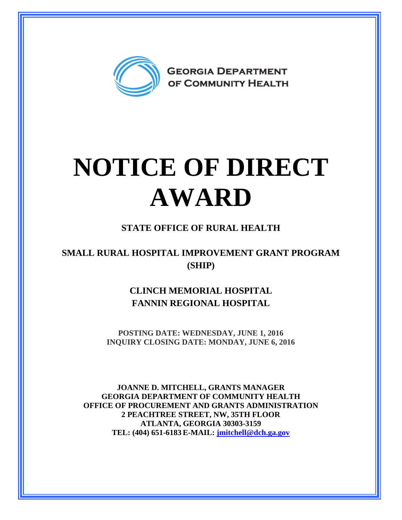

## **NOTICE OF DIRECT AWARD**

## **STATE OFFICE OF RURAL HEALTH**

## **SMALL RURAL HOSPITAL IMPROVEMENT GRANT PROGRAM (SHIP)**

**CLINCH MEMORIAL HOSPITAL FANNIN REGIONAL HOSPITAL**

**POSTING DATE: WEDNESDAY, JUNE 1, 2016 INQUIRY CLOSING DATE: MONDAY, JUNE 6, 2016** 

**JOANNE D. MITCHELL, GRANTS MANAGER GEORGIA DEPARTMENT OF COMMUNITY HEALTH OFFICE OF PROCUREMENT AND GRANTS ADMINISTRATION 2 PEACHTREE STREET, NW, 35TH FLOOR ATLANTA, GEORGIA 30303-3159 TEL: (404) 651-6183 E-MAIL: [jmitchell@dch.ga.gov](mailto:awatson@dch.ga.gov)**